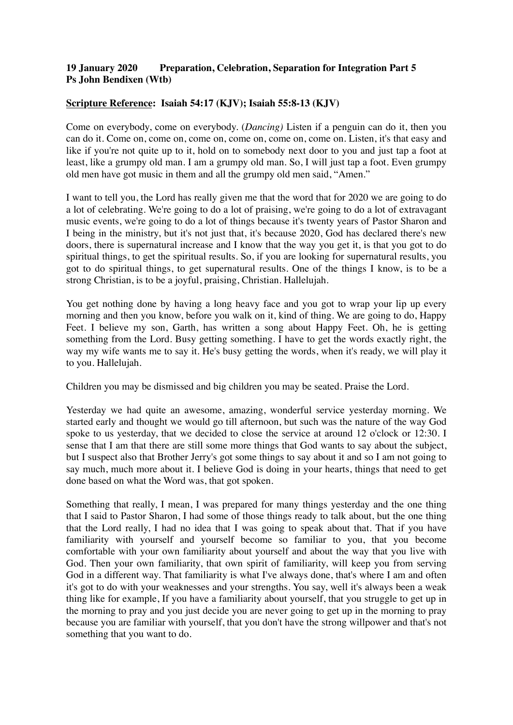## **19 January 2020 Preparation, Celebration, Separation for Integration Part 5 Ps John Bendixen (Wtb)**

## **Scripture Reference: Isaiah 54:17 (KJV); Isaiah 55:8-13 (KJV)**

Come on everybody, come on everybody. (*Dancing)* Listen if a penguin can do it, then you can do it. Come on, come on, come on, come on, come on, come on. Listen, it's that easy and like if you're not quite up to it, hold on to somebody next door to you and just tap a foot at least, like a grumpy old man. I am a grumpy old man. So, I will just tap a foot. Even grumpy old men have got music in them and all the grumpy old men said, "Amen."

I want to tell you, the Lord has really given me that the word that for 2020 we are going to do a lot of celebrating. We're going to do a lot of praising, we're going to do a lot of extravagant music events, we're going to do a lot of things because it's twenty years of Pastor Sharon and I being in the ministry, but it's not just that, it's because 2020, God has declared there's new doors, there is supernatural increase and I know that the way you get it, is that you got to do spiritual things, to get the spiritual results. So, if you are looking for supernatural results, you got to do spiritual things, to get supernatural results. One of the things I know, is to be a strong Christian, is to be a joyful, praising, Christian. Hallelujah.

You get nothing done by having a long heavy face and you got to wrap your lip up every morning and then you know, before you walk on it, kind of thing. We are going to do, Happy Feet. I believe my son, Garth, has written a song about Happy Feet. Oh, he is getting something from the Lord. Busy getting something. I have to get the words exactly right, the way my wife wants me to say it. He's busy getting the words, when it's ready, we will play it to you. Hallelujah.

Children you may be dismissed and big children you may be seated. Praise the Lord.

Yesterday we had quite an awesome, amazing, wonderful service yesterday morning. We started early and thought we would go till afternoon, but such was the nature of the way God spoke to us yesterday, that we decided to close the service at around 12 o'clock or 12:30. I sense that I am that there are still some more things that God wants to say about the subject, but I suspect also that Brother Jerry's got some things to say about it and so I am not going to say much, much more about it. I believe God is doing in your hearts, things that need to get done based on what the Word was, that got spoken.

Something that really, I mean, I was prepared for many things yesterday and the one thing that I said to Pastor Sharon, I had some of those things ready to talk about, but the one thing that the Lord really, I had no idea that I was going to speak about that. That if you have familiarity with yourself and yourself become so familiar to you, that you become comfortable with your own familiarity about yourself and about the way that you live with God. Then your own familiarity, that own spirit of familiarity, will keep you from serving God in a different way. That familiarity is what I've always done, that's where I am and often it's got to do with your weaknesses and your strengths. You say, well it's always been a weak thing like for example, If you have a familiarity about yourself, that you struggle to get up in the morning to pray and you just decide you are never going to get up in the morning to pray because you are familiar with yourself, that you don't have the strong willpower and that's not something that you want to do.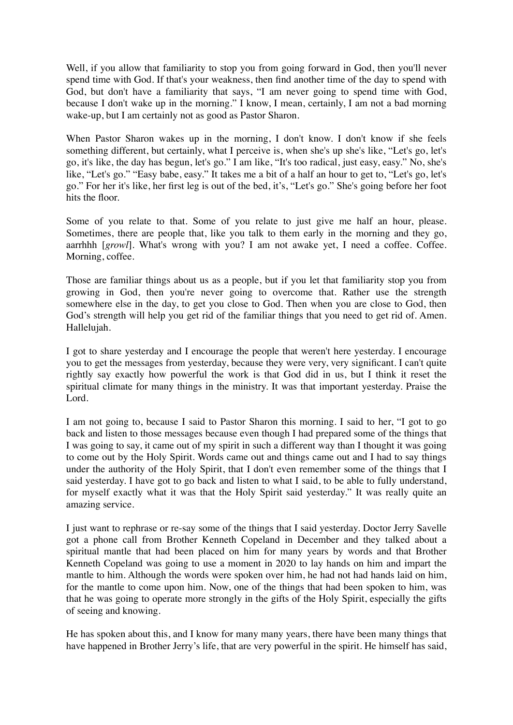Well, if you allow that familiarity to stop you from going forward in God, then you'll never spend time with God. If that's your weakness, then find another time of the day to spend with God, but don't have a familiarity that says, "I am never going to spend time with God, because I don't wake up in the morning." I know, I mean, certainly, I am not a bad morning wake-up, but I am certainly not as good as Pastor Sharon.

When Pastor Sharon wakes up in the morning, I don't know. I don't know if she feels something different, but certainly, what I perceive is, when she's up she's like, "Let's go, let's go, it's like, the day has begun, let's go." I am like, "It's too radical, just easy, easy." No, she's like, "Let's go." "Easy babe, easy." It takes me a bit of a half an hour to get to, "Let's go, let's go." For her it's like, her first leg is out of the bed, it's, "Let's go." She's going before her foot hits the floor.

Some of you relate to that. Some of you relate to just give me half an hour, please. Sometimes, there are people that, like you talk to them early in the morning and they go, aarrhhh [*growl*]. What's wrong with you? I am not awake yet, I need a coffee. Coffee. Morning, coffee.

Those are familiar things about us as a people, but if you let that familiarity stop you from growing in God, then you're never going to overcome that. Rather use the strength somewhere else in the day, to get you close to God. Then when you are close to God, then God's strength will help you get rid of the familiar things that you need to get rid of. Amen. Hallelujah.

I got to share yesterday and I encourage the people that weren't here yesterday. I encourage you to get the messages from yesterday, because they were very, very significant. I can't quite rightly say exactly how powerful the work is that God did in us, but I think it reset the spiritual climate for many things in the ministry. It was that important yesterday. Praise the Lord.

I am not going to, because I said to Pastor Sharon this morning. I said to her, "I got to go back and listen to those messages because even though I had prepared some of the things that I was going to say, it came out of my spirit in such a different way than I thought it was going to come out by the Holy Spirit. Words came out and things came out and I had to say things under the authority of the Holy Spirit, that I don't even remember some of the things that I said yesterday. I have got to go back and listen to what I said, to be able to fully understand, for myself exactly what it was that the Holy Spirit said yesterday." It was really quite an amazing service.

I just want to rephrase or re-say some of the things that I said yesterday. Doctor Jerry Savelle got a phone call from Brother Kenneth Copeland in December and they talked about a spiritual mantle that had been placed on him for many years by words and that Brother Kenneth Copeland was going to use a moment in 2020 to lay hands on him and impart the mantle to him. Although the words were spoken over him, he had not had hands laid on him, for the mantle to come upon him. Now, one of the things that had been spoken to him, was that he was going to operate more strongly in the gifts of the Holy Spirit, especially the gifts of seeing and knowing.

He has spoken about this, and I know for many many years, there have been many things that have happened in Brother Jerry's life, that are very powerful in the spirit. He himself has said,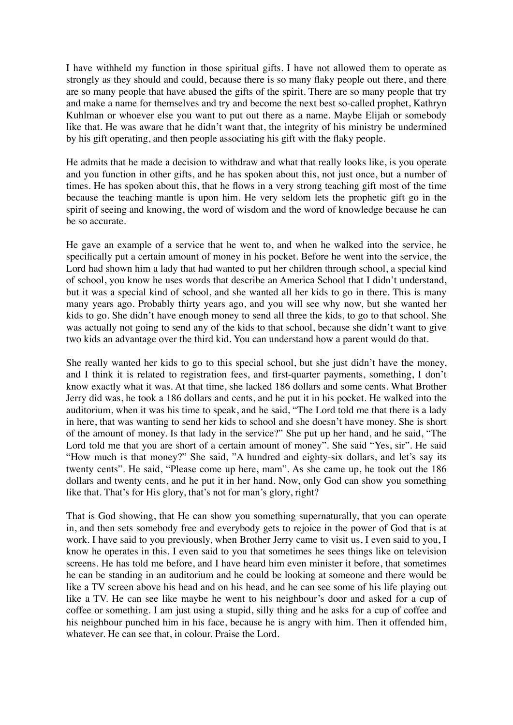I have withheld my function in those spiritual gifts. I have not allowed them to operate as strongly as they should and could, because there is so many flaky people out there, and there are so many people that have abused the gifts of the spirit. There are so many people that try and make a name for themselves and try and become the next best so-called prophet, Kathryn Kuhlman or whoever else you want to put out there as a name. Maybe Elijah or somebody like that. He was aware that he didn't want that, the integrity of his ministry be undermined by his gift operating, and then people associating his gift with the flaky people.

He admits that he made a decision to withdraw and what that really looks like, is you operate and you function in other gifts, and he has spoken about this, not just once, but a number of times. He has spoken about this, that he flows in a very strong teaching gift most of the time because the teaching mantle is upon him. He very seldom lets the prophetic gift go in the spirit of seeing and knowing, the word of wisdom and the word of knowledge because he can be so accurate.

He gave an example of a service that he went to, and when he walked into the service, he specifically put a certain amount of money in his pocket. Before he went into the service, the Lord had shown him a lady that had wanted to put her children through school, a special kind of school, you know he uses words that describe an America School that I didn't understand, but it was a special kind of school, and she wanted all her kids to go in there. This is many many years ago. Probably thirty years ago, and you will see why now, but she wanted her kids to go. She didn't have enough money to send all three the kids, to go to that school. She was actually not going to send any of the kids to that school, because she didn't want to give two kids an advantage over the third kid. You can understand how a parent would do that.

She really wanted her kids to go to this special school, but she just didn't have the money, and I think it is related to registration fees, and first-quarter payments, something, I don't know exactly what it was. At that time, she lacked 186 dollars and some cents. What Brother Jerry did was, he took a 186 dollars and cents, and he put it in his pocket. He walked into the auditorium, when it was his time to speak, and he said, "The Lord told me that there is a lady in here, that was wanting to send her kids to school and she doesn't have money. She is short of the amount of money. Is that lady in the service?" She put up her hand, and he said, "The Lord told me that you are short of a certain amount of money". She said "Yes, sir". He said "How much is that money?" She said, "A hundred and eighty-six dollars, and let's say its twenty cents". He said, "Please come up here, mam". As she came up, he took out the 186 dollars and twenty cents, and he put it in her hand. Now, only God can show you something like that. That's for His glory, that's not for man's glory, right?

That is God showing, that He can show you something supernaturally, that you can operate in, and then sets somebody free and everybody gets to rejoice in the power of God that is at work. I have said to you previously, when Brother Jerry came to visit us, I even said to you, I know he operates in this. I even said to you that sometimes he sees things like on television screens. He has told me before, and I have heard him even minister it before, that sometimes he can be standing in an auditorium and he could be looking at someone and there would be like a TV screen above his head and on his head, and he can see some of his life playing out like a TV. He can see like maybe he went to his neighbour's door and asked for a cup of coffee or something. I am just using a stupid, silly thing and he asks for a cup of coffee and his neighbour punched him in his face, because he is angry with him. Then it offended him, whatever. He can see that, in colour. Praise the Lord.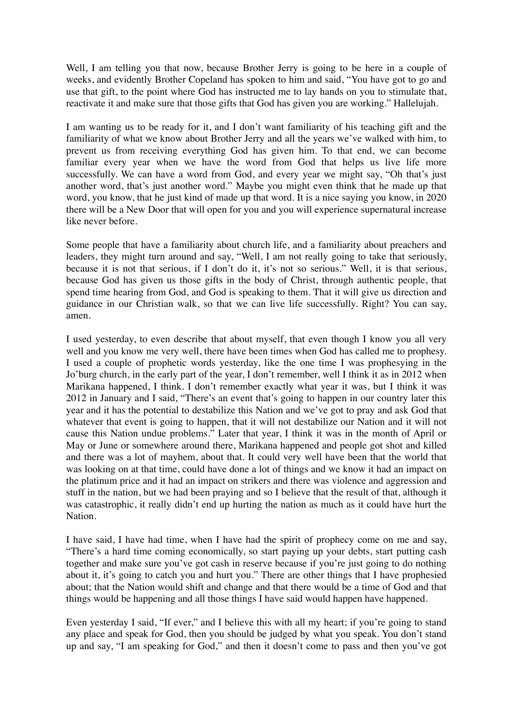Well, I am telling you that now, because Brother Jerry is going to be here in a couple of weeks, and evidently Brother Copeland has spoken to him and said, "You have got to go and use that gift, to the point where God has instructed me to lay hands on you to stimulate that, reactivate it and make sure that those gifts that God has given you are working." Hallelujah.

I am wanting us to be ready for it, and I don't want familiarity of his teaching gift and the familiarity of what we know about Brother Jerry and all the years we've walked with him, to prevent us from receiving everything God has given him. To that end, we can become familiar every year when we have the word from God that helps us live life more successfully. We can have a word from God, and every year we might say, "Oh that's just another word, that's just another word." Maybe you might even think that he made up that word, you know, that he just kind of made up that word. It is a nice saying you know, in 2020 there will be a New Door that will open for you and you will experience supernatural increase like never before.

Some people that have a familiarity about church life, and a familiarity about preachers and leaders, they might turn around and say, "Well, I am not really going to take that seriously, because it is not that serious, if I don't do it, it's not so serious." Well, it is that serious, because God has given us those gifts in the body of Christ, through authentic people, that spend time hearing from God, and God is speaking to them. That it will give us direction and guidance in our Christian walk, so that we can live life successfully. Right? You can say, amen.

I used yesterday, to even describe that about myself, that even though I know you all very well and you know me very well, there have been times when God has called me to prophesy. I used a couple of prophetic words yesterday, like the one time I was prophesying in the Jo'burg church, in the early part of the year, I don't remember, well I think it as in 2012 when Marikana happened, I think. I don't remember exactly what year it was, but I think it was 2012 in January and I said, "There's an event that's going to happen in our country later this year and it has the potential to destabilize this Nation and we've got to pray and ask God that whatever that event is going to happen, that it will not destabilize our Nation and it will not cause this Nation undue problems." Later that year, I think it was in the month of April or May or June or somewhere around there, Marikana happened and people got shot and killed and there was a lot of mayhem, about that. It could very well have been that the world that was looking on at that time, could have done a lot of things and we know it had an impact on the platinum price and it had an impact on strikers and there was violence and aggression and stuff in the nation, but we had been praying and so I believe that the result of that, although it was catastrophic, it really didn't end up hurting the nation as much as it could have hurt the Nation.

I have said, I have had time, when I have had the spirit of prophecy come on me and say, "There's a hard time coming economically, so start paying up your debts, start putting cash together and make sure you've got cash in reserve because if you're just going to do nothing about it, it's going to catch you and hurt you." There are other things that I have prophesied about; that the Nation would shift and change and that there would be a time of God and that things would be happening and all those things I have said would happen have happened.

Even yesterday I said, "If ever," and I believe this with all my heart; if you're going to stand any place and speak for God, then you should be judged by what you speak. You don't stand up and say, "I am speaking for God," and then it doesn't come to pass and then you've got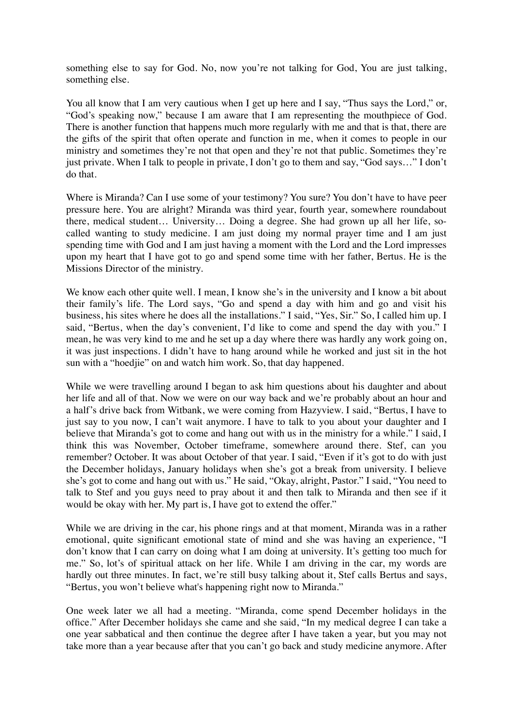something else to say for God. No, now you're not talking for God, You are just talking, something else.

You all know that I am very cautious when I get up here and I say, "Thus says the Lord," or, "God's speaking now," because I am aware that I am representing the mouthpiece of God. There is another function that happens much more regularly with me and that is that, there are the gifts of the spirit that often operate and function in me, when it comes to people in our ministry and sometimes they're not that open and they're not that public. Sometimes they're just private. When I talk to people in private, I don't go to them and say, "God says…" I don't do that.

Where is Miranda? Can I use some of your testimony? You sure? You don't have to have peer pressure here. You are alright? Miranda was third year, fourth year, somewhere roundabout there, medical student… University… Doing a degree. She had grown up all her life, socalled wanting to study medicine. I am just doing my normal prayer time and I am just spending time with God and I am just having a moment with the Lord and the Lord impresses upon my heart that I have got to go and spend some time with her father, Bertus. He is the Missions Director of the ministry.

We know each other quite well. I mean, I know she's in the university and I know a bit about their family's life. The Lord says, "Go and spend a day with him and go and visit his business, his sites where he does all the installations." I said, "Yes, Sir." So, I called him up. I said, "Bertus, when the day's convenient, I'd like to come and spend the day with you." I mean, he was very kind to me and he set up a day where there was hardly any work going on, it was just inspections. I didn't have to hang around while he worked and just sit in the hot sun with a "hoedjie" on and watch him work. So, that day happened.

While we were travelling around I began to ask him questions about his daughter and about her life and all of that. Now we were on our way back and we're probably about an hour and a half's drive back from Witbank, we were coming from Hazyview. I said, "Bertus, I have to just say to you now, I can't wait anymore. I have to talk to you about your daughter and I believe that Miranda's got to come and hang out with us in the ministry for a while." I said, I think this was November, October timeframe, somewhere around there. Stef, can you remember? October. It was about October of that year. I said, "Even if it's got to do with just the December holidays, January holidays when she's got a break from university. I believe she's got to come and hang out with us." He said, "Okay, alright, Pastor." I said, "You need to talk to Stef and you guys need to pray about it and then talk to Miranda and then see if it would be okay with her. My part is, I have got to extend the offer."

While we are driving in the car, his phone rings and at that moment, Miranda was in a rather emotional, quite significant emotional state of mind and she was having an experience, "I don't know that I can carry on doing what I am doing at university. It's getting too much for me." So, lot's of spiritual attack on her life. While I am driving in the car, my words are hardly out three minutes. In fact, we're still busy talking about it, Stef calls Bertus and says, "Bertus, you won't believe what's happening right now to Miranda."

One week later we all had a meeting. "Miranda, come spend December holidays in the office." After December holidays she came and she said, "In my medical degree I can take a one year sabbatical and then continue the degree after I have taken a year, but you may not take more than a year because after that you can't go back and study medicine anymore. After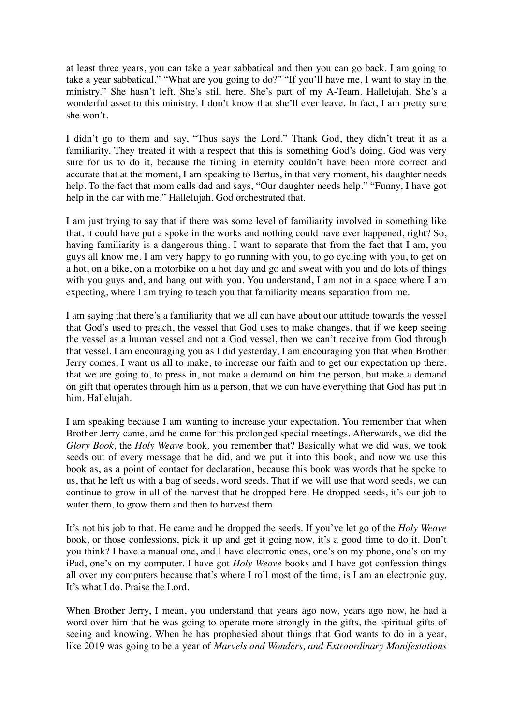at least three years, you can take a year sabbatical and then you can go back. I am going to take a year sabbatical." "What are you going to do?" "If you'll have me, I want to stay in the ministry." She hasn't left. She's still here. She's part of my A-Team. Hallelujah. She's a wonderful asset to this ministry. I don't know that she'll ever leave. In fact, I am pretty sure she won't.

I didn't go to them and say, "Thus says the Lord." Thank God, they didn't treat it as a familiarity. They treated it with a respect that this is something God's doing. God was very sure for us to do it, because the timing in eternity couldn't have been more correct and accurate that at the moment, I am speaking to Bertus, in that very moment, his daughter needs help. To the fact that mom calls dad and says, "Our daughter needs help." "Funny, I have got help in the car with me." Hallelujah. God orchestrated that.

I am just trying to say that if there was some level of familiarity involved in something like that, it could have put a spoke in the works and nothing could have ever happened, right? So, having familiarity is a dangerous thing. I want to separate that from the fact that I am, you guys all know me. I am very happy to go running with you, to go cycling with you, to get on a hot, on a bike, on a motorbike on a hot day and go and sweat with you and do lots of things with you guys and, and hang out with you. You understand, I am not in a space where I am expecting, where I am trying to teach you that familiarity means separation from me.

I am saying that there's a familiarity that we all can have about our attitude towards the vessel that God's used to preach, the vessel that God uses to make changes, that if we keep seeing the vessel as a human vessel and not a God vessel, then we can't receive from God through that vessel. I am encouraging you as I did yesterday, I am encouraging you that when Brother Jerry comes, I want us all to make, to increase our faith and to get our expectation up there, that we are going to, to press in, not make a demand on him the person, but make a demand on gift that operates through him as a person, that we can have everything that God has put in him. Hallelujah.

I am speaking because I am wanting to increase your expectation. You remember that when Brother Jerry came, and he came for this prolonged special meetings. Afterwards, we did the *Glory Book*, the *Holy Weave* book*,* you remember that? Basically what we did was, we took seeds out of every message that he did, and we put it into this book, and now we use this book as, as a point of contact for declaration, because this book was words that he spoke to us, that he left us with a bag of seeds, word seeds. That if we will use that word seeds, we can continue to grow in all of the harvest that he dropped here. He dropped seeds, it's our job to water them, to grow them and then to harvest them.

It's not his job to that. He came and he dropped the seeds. If you've let go of the *Holy Weave* book, or those confessions, pick it up and get it going now, it's a good time to do it. Don't you think? I have a manual one, and I have electronic ones, one's on my phone, one's on my iPad, one's on my computer. I have got *Holy Weave* books and I have got confession things all over my computers because that's where I roll most of the time, is I am an electronic guy. It's what I do. Praise the Lord.

When Brother Jerry, I mean, you understand that years ago now, years ago now, he had a word over him that he was going to operate more strongly in the gifts, the spiritual gifts of seeing and knowing. When he has prophesied about things that God wants to do in a year, like 2019 was going to be a year of *Marvels and Wonders, and Extraordinary Manifestations*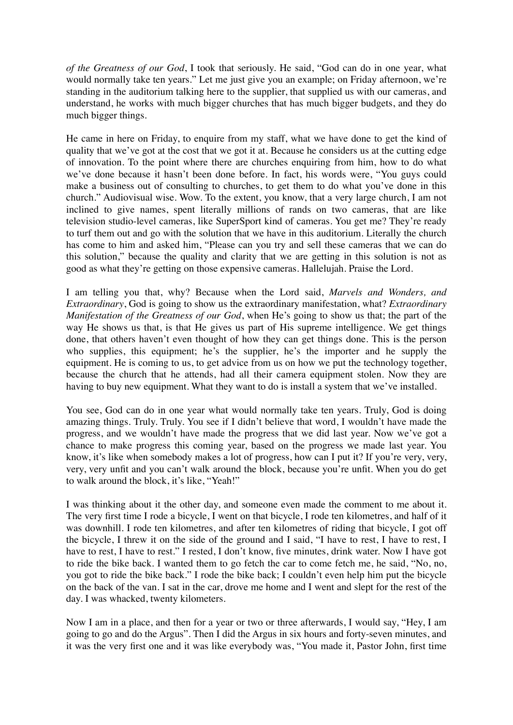*of the Greatness of our God*, I took that seriously. He said, "God can do in one year, what would normally take ten years." Let me just give you an example; on Friday afternoon, we're standing in the auditorium talking here to the supplier, that supplied us with our cameras, and understand, he works with much bigger churches that has much bigger budgets, and they do much bigger things.

He came in here on Friday, to enquire from my staff, what we have done to get the kind of quality that we've got at the cost that we got it at. Because he considers us at the cutting edge of innovation. To the point where there are churches enquiring from him, how to do what we've done because it hasn't been done before. In fact, his words were, "You guys could make a business out of consulting to churches, to get them to do what you've done in this church." Audiovisual wise. Wow. To the extent, you know, that a very large church, I am not inclined to give names, spent literally millions of rands on two cameras, that are like television studio-level cameras, like SuperSport kind of cameras. You get me? They're ready to turf them out and go with the solution that we have in this auditorium. Literally the church has come to him and asked him, "Please can you try and sell these cameras that we can do this solution," because the quality and clarity that we are getting in this solution is not as good as what they're getting on those expensive cameras. Hallelujah. Praise the Lord.

I am telling you that, why? Because when the Lord said, *Marvels and Wonders, and Extraordinary*, God is going to show us the extraordinary manifestation, what? *Extraordinary Manifestation of the Greatness of our God*, when He's going to show us that; the part of the way He shows us that, is that He gives us part of His supreme intelligence. We get things done, that others haven't even thought of how they can get things done. This is the person who supplies, this equipment; he's the supplier, he's the importer and he supply the equipment. He is coming to us, to get advice from us on how we put the technology together, because the church that he attends, had all their camera equipment stolen. Now they are having to buy new equipment. What they want to do is install a system that we've installed.

You see, God can do in one year what would normally take ten years. Truly, God is doing amazing things. Truly. Truly. You see if I didn't believe that word, I wouldn't have made the progress, and we wouldn't have made the progress that we did last year. Now we've got a chance to make progress this coming year, based on the progress we made last year. You know, it's like when somebody makes a lot of progress, how can I put it? If you're very, very, very, very unfit and you can't walk around the block, because you're unfit. When you do get to walk around the block, it's like, "Yeah!"

I was thinking about it the other day, and someone even made the comment to me about it. The very first time I rode a bicycle, I went on that bicycle, I rode ten kilometres, and half of it was downhill. I rode ten kilometres, and after ten kilometres of riding that bicycle, I got off the bicycle, I threw it on the side of the ground and I said, "I have to rest, I have to rest, I have to rest, I have to rest." I rested, I don't know, five minutes, drink water. Now I have got to ride the bike back. I wanted them to go fetch the car to come fetch me, he said, "No, no, you got to ride the bike back." I rode the bike back; I couldn't even help him put the bicycle on the back of the van. I sat in the car, drove me home and I went and slept for the rest of the day. I was whacked, twenty kilometers.

Now I am in a place, and then for a year or two or three afterwards, I would say, "Hey, I am going to go and do the Argus". Then I did the Argus in six hours and forty-seven minutes, and it was the very first one and it was like everybody was, "You made it, Pastor John, first time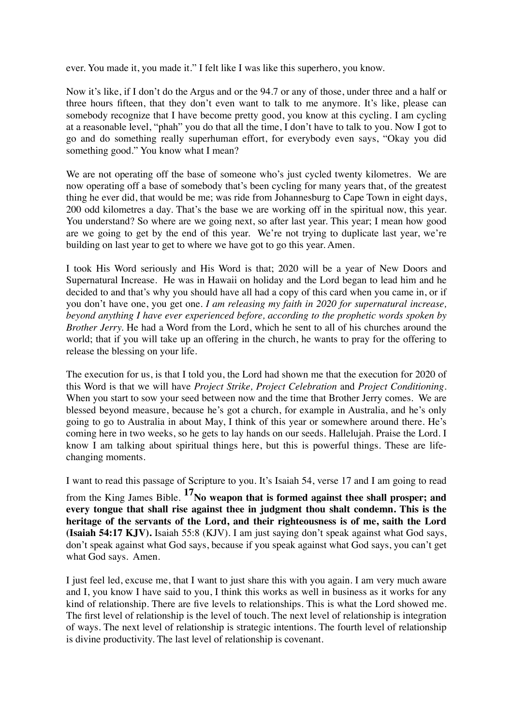ever. You made it, you made it." I felt like I was like this superhero, you know.

Now it's like, if I don't do the Argus and or the 94.7 or any of those, under three and a half or three hours fifteen, that they don't even want to talk to me anymore. It's like, please can somebody recognize that I have become pretty good, you know at this cycling. I am cycling at a reasonable level, "phah" you do that all the time, I don't have to talk to you. Now I got to go and do something really superhuman effort, for everybody even says, "Okay you did something good." You know what I mean?

We are not operating off the base of someone who's just cycled twenty kilometres. We are now operating off a base of somebody that's been cycling for many years that, of the greatest thing he ever did, that would be me; was ride from Johannesburg to Cape Town in eight days, 200 odd kilometres a day. That's the base we are working off in the spiritual now, this year. You understand? So where are we going next, so after last year. This year; I mean how good are we going to get by the end of this year. We're not trying to duplicate last year, we're building on last year to get to where we have got to go this year. Amen.

I took His Word seriously and His Word is that; 2020 will be a year of New Doors and Supernatural Increase. He was in Hawaii on holiday and the Lord began to lead him and he decided to and that's why you should have all had a copy of this card when you came in, or if you don't have one, you get one. *I am releasing my faith in 2020 for supernatural increase, beyond anything I have ever experienced before, according to the prophetic words spoken by Brother Jerry.* He had a Word from the Lord, which he sent to all of his churches around the world; that if you will take up an offering in the church, he wants to pray for the offering to release the blessing on your life.

The execution for us, is that I told you, the Lord had shown me that the execution for 2020 of this Word is that we will have *Project Strike, Project Celebration* and *Project Conditioning*. When you start to sow your seed between now and the time that Brother Jerry comes. We are blessed beyond measure, because he's got a church, for example in Australia, and he's only going to go to Australia in about May, I think of this year or somewhere around there. He's coming here in two weeks, so he gets to lay hands on our seeds. Hallelujah. Praise the Lord. I know I am talking about spiritual things here, but this is powerful things. These are lifechanging moments.

I want to read this passage of Scripture to you. It's Isaiah 54, verse 17 and I am going to read

from the King James Bible. <sup>17</sup>No weapon that is formed against thee shall prosper; and **every tongue that shall rise against thee in judgment thou shalt condemn. This is the heritage of the servants of the Lord, and their righteousness is of me, saith the Lord (Isaiah 54:17 KJV).** Isaiah 55:8 (KJV). I am just saying don't speak against what God says, don't speak against what God says, because if you speak against what God says, you can't get what God says. Amen.

I just feel led, excuse me, that I want to just share this with you again. I am very much aware and I, you know I have said to you, I think this works as well in business as it works for any kind of relationship. There are five levels to relationships. This is what the Lord showed me. The first level of relationship is the level of touch. The next level of relationship is integration of ways. The next level of relationship is strategic intentions. The fourth level of relationship is divine productivity. The last level of relationship is covenant.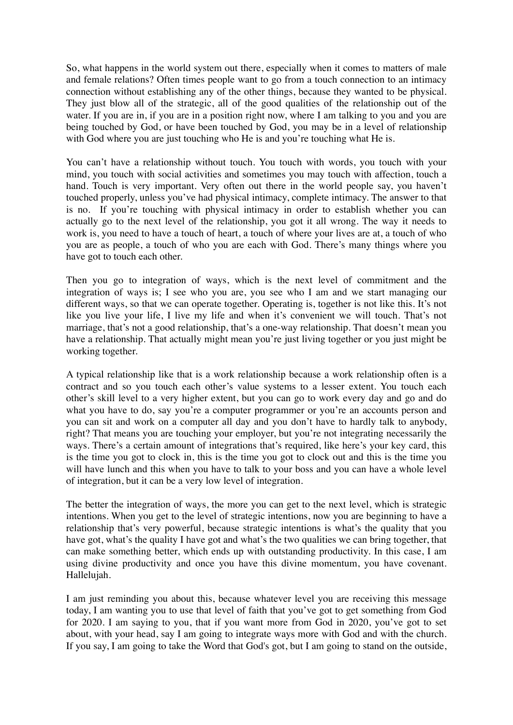So, what happens in the world system out there, especially when it comes to matters of male and female relations? Often times people want to go from a touch connection to an intimacy connection without establishing any of the other things, because they wanted to be physical. They just blow all of the strategic, all of the good qualities of the relationship out of the water. If you are in, if you are in a position right now, where I am talking to you and you are being touched by God, or have been touched by God, you may be in a level of relationship with God where you are just touching who He is and you're touching what He is.

You can't have a relationship without touch. You touch with words, you touch with your mind, you touch with social activities and sometimes you may touch with affection, touch a hand. Touch is very important. Very often out there in the world people say, you haven't touched properly, unless you've had physical intimacy, complete intimacy. The answer to that is no. If you're touching with physical intimacy in order to establish whether you can actually go to the next level of the relationship, you got it all wrong. The way it needs to work is, you need to have a touch of heart, a touch of where your lives are at, a touch of who you are as people, a touch of who you are each with God. There's many things where you have got to touch each other.

Then you go to integration of ways, which is the next level of commitment and the integration of ways is; I see who you are, you see who I am and we start managing our different ways, so that we can operate together. Operating is, together is not like this. It's not like you live your life, I live my life and when it's convenient we will touch. That's not marriage, that's not a good relationship, that's a one-way relationship. That doesn't mean you have a relationship. That actually might mean you're just living together or you just might be working together.

A typical relationship like that is a work relationship because a work relationship often is a contract and so you touch each other's value systems to a lesser extent. You touch each other's skill level to a very higher extent, but you can go to work every day and go and do what you have to do, say you're a computer programmer or you're an accounts person and you can sit and work on a computer all day and you don't have to hardly talk to anybody, right? That means you are touching your employer, but you're not integrating necessarily the ways. There's a certain amount of integrations that's required, like here's your key card, this is the time you got to clock in, this is the time you got to clock out and this is the time you will have lunch and this when you have to talk to your boss and you can have a whole level of integration, but it can be a very low level of integration.

The better the integration of ways, the more you can get to the next level, which is strategic intentions. When you get to the level of strategic intentions, now you are beginning to have a relationship that's very powerful, because strategic intentions is what's the quality that you have got, what's the quality I have got and what's the two qualities we can bring together, that can make something better, which ends up with outstanding productivity. In this case, I am using divine productivity and once you have this divine momentum, you have covenant. Hallelujah.

I am just reminding you about this, because whatever level you are receiving this message today, I am wanting you to use that level of faith that you've got to get something from God for 2020. I am saying to you, that if you want more from God in 2020, you've got to set about, with your head, say I am going to integrate ways more with God and with the church. If you say, I am going to take the Word that God's got, but I am going to stand on the outside,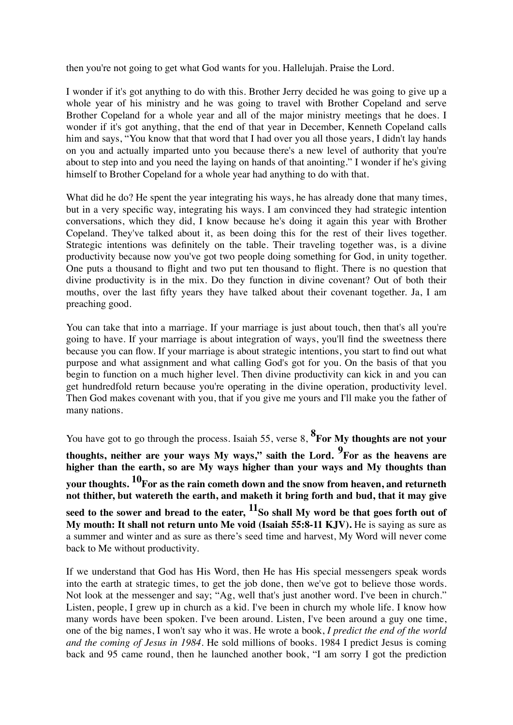then you're not going to get what God wants for you. Hallelujah. Praise the Lord.

I wonder if it's got anything to do with this. Brother Jerry decided he was going to give up a whole year of his ministry and he was going to travel with Brother Copeland and serve Brother Copeland for a whole year and all of the major ministry meetings that he does. I wonder if it's got anything, that the end of that year in December, Kenneth Copeland calls him and says, "You know that that word that I had over you all those years, I didn't lay hands on you and actually imparted unto you because there's a new level of authority that you're about to step into and you need the laying on hands of that anointing." I wonder if he's giving himself to Brother Copeland for a whole year had anything to do with that.

What did he do? He spent the year integrating his ways, he has already done that many times, but in a very specific way, integrating his ways. I am convinced they had strategic intention conversations, which they did, I know because he's doing it again this year with Brother Copeland. They've talked about it, as been doing this for the rest of their lives together. Strategic intentions was definitely on the table. Their traveling together was, is a divine productivity because now you've got two people doing something for God, in unity together. One puts a thousand to flight and two put ten thousand to flight. There is no question that divine productivity is in the mix. Do they function in divine covenant? Out of both their mouths, over the last fifty years they have talked about their covenant together. Ja, I am preaching good.

You can take that into a marriage. If your marriage is just about touch, then that's all you're going to have. If your marriage is about integration of ways, you'll find the sweetness there because you can flow. If your marriage is about strategic intentions, you start to find out what purpose and what assignment and what calling God's got for you. On the basis of that you begin to function on a much higher level. Then divine productivity can kick in and you can get hundredfold return because you're operating in the divine operation, productivity level. Then God makes covenant with you, that if you give me yours and I'll make you the father of many nations.

You have got to go through the process. Isaiah 55, verse 8, <sup>8</sup>For My thoughts are not your thoughts, neither are your ways My ways," saith the Lord. <sup>9</sup>For as the heavens are **higher than the earth, so are My ways higher than your ways and My thoughts than your thoughts.** <sup>10</sup>For as the rain cometh down and the snow from heaven, and returneth **not thither, but watereth the earth, and maketh it bring forth and bud, that it may give**  seed to the sower and bread to the eater,  $\frac{11}{150}$  shall My word be that goes forth out of **My mouth: It shall not return unto Me void (Isaiah 55:8-11 KJV).** He is saying as sure as a summer and winter and as sure as there's seed time and harvest, My Word will never come back to Me without productivity.

If we understand that God has His Word, then He has His special messengers speak words into the earth at strategic times, to get the job done, then we've got to believe those words. Not look at the messenger and say; "Ag, well that's just another word. I've been in church." Listen, people, I grew up in church as a kid. I've been in church my whole life. I know how many words have been spoken. I've been around. Listen, I've been around a guy one time, one of the big names, I won't say who it was. He wrote a book, *I predict the end of the world and the coming of Jesus in 1984*. He sold millions of books. 1984 I predict Jesus is coming back and 95 came round, then he launched another book, "I am sorry I got the prediction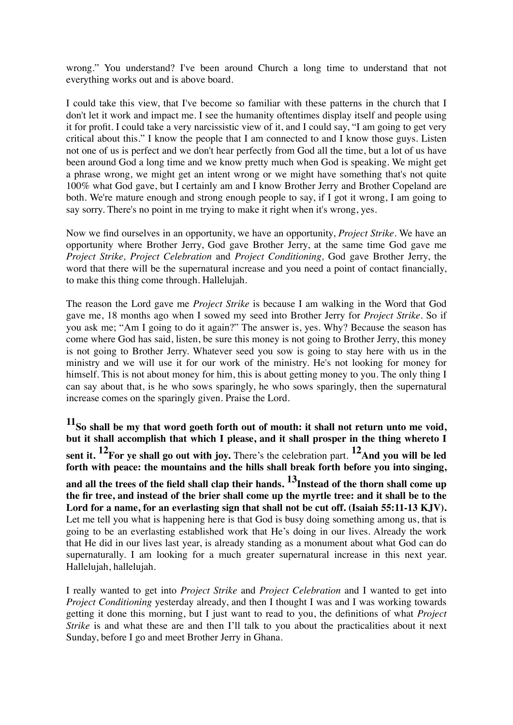wrong." You understand? I've been around Church a long time to understand that not everything works out and is above board.

I could take this view, that I've become so familiar with these patterns in the church that I don't let it work and impact me. I see the humanity oftentimes display itself and people using it for profit. I could take a very narcissistic view of it, and I could say, "I am going to get very critical about this." I know the people that I am connected to and I know those guys. Listen not one of us is perfect and we don't hear perfectly from God all the time, but a lot of us have been around God a long time and we know pretty much when God is speaking. We might get a phrase wrong, we might get an intent wrong or we might have something that's not quite 100% what God gave, but I certainly am and I know Brother Jerry and Brother Copeland are both. We're mature enough and strong enough people to say, if I got it wrong, I am going to say sorry. There's no point in me trying to make it right when it's wrong, yes.

Now we find ourselves in an opportunity, we have an opportunity, *Project Strike*. We have an opportunity where Brother Jerry, God gave Brother Jerry, at the same time God gave me *Project Strike, Project Celebration* and *Project Conditioning,* God gave Brother Jerry, the word that there will be the supernatural increase and you need a point of contact financially, to make this thing come through. Hallelujah.

The reason the Lord gave me *Project Strike* is because I am walking in the Word that God gave me, 18 months ago when I sowed my seed into Brother Jerry for *Project Strike*. So if you ask me; "Am I going to do it again?" The answer is, yes. Why? Because the season has come where God has said, listen, be sure this money is not going to Brother Jerry, this money is not going to Brother Jerry. Whatever seed you sow is going to stay here with us in the ministry and we will use it for our work of the ministry. He's not looking for money for himself. This is not about money for him, this is about getting money to you. The only thing I can say about that, is he who sows sparingly, he who sows sparingly, then the supernatural increase comes on the sparingly given. Praise the Lord.

**11So shall be my that word goeth forth out of mouth: it shall not return unto me void, but it shall accomplish that which I please, and it shall prosper in the thing whereto I**  sent it. <sup>12</sup>For ye shall go out with joy. There's the celebration part. <sup>12</sup>And you will be led **forth with peace: the mountains and the hills shall break forth before you into singing, and all the trees of the field shall clap their hands. 13Instead of the thorn shall come up the fir tree, and instead of the brier shall come up the myrtle tree: and it shall be to the**  Lord for a name, for an everlasting sign that shall not be cut off. (Isaiah 55:11-13 KJV). Let me tell you what is happening here is that God is busy doing something among us, that is going to be an everlasting established work that He's doing in our lives. Already the work that He did in our lives last year, is already standing as a monument about what God can do supernaturally. I am looking for a much greater supernatural increase in this next year. Hallelujah, hallelujah.

I really wanted to get into *Project Strike* and *Project Celebration* and I wanted to get into *Project Conditioning* yesterday already, and then I thought I was and I was working towards getting it done this morning, but I just want to read to you, the definitions of what *Project Strike* is and what these are and then I'll talk to you about the practicalities about it next Sunday, before I go and meet Brother Jerry in Ghana.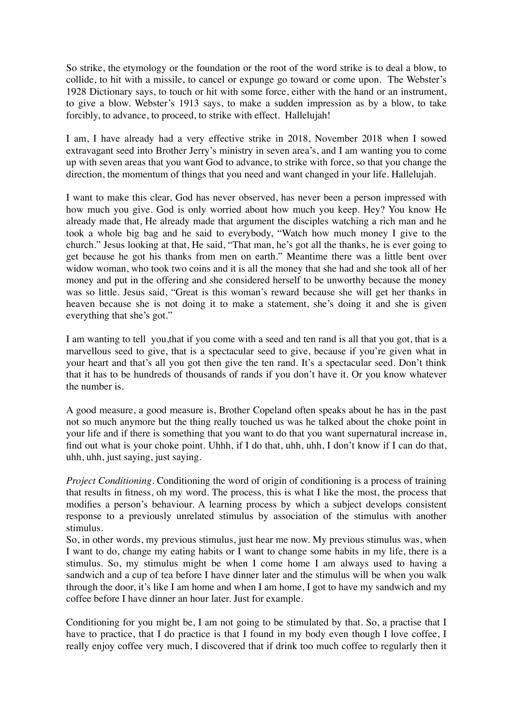So strike, the etymology or the foundation or the root of the word strike is to deal a blow, to collide, to hit with a missile, to cancel or expunge go toward or come upon. The Webster's 1928 Dictionary says, to touch or hit with some force, either with the hand or an instrument, to give a blow. Webster's 1913 says, to make a sudden impression as by a blow, to take forcibly, to advance, to proceed, to strike with effect. Hallelujah!

I am, I have already had a very effective strike in 2018, November 2018 when I sowed extravagant seed into Brother Jerry's ministry in seven area's, and I am wanting you to come up with seven areas that you want God to advance, to strike with force, so that you change the direction, the momentum of things that you need and want changed in your life. Hallelujah.

I want to make this clear, God has never observed, has never been a person impressed with how much you give. God is only worried about how much you keep. Hey? You know He already made that, He already made that argument the disciples watching a rich man and he took a whole big bag and he said to everybody, "Watch how much money I give to the church." Jesus looking at that, He said, "That man, he's got all the thanks, he is ever going to get because he got his thanks from men on earth." Meantime there was a little bent over widow woman, who took two coins and it is all the money that she had and she took all of her money and put in the offering and she considered herself to be unworthy because the money was so little. Jesus said, "Great is this woman's reward because she will get her thanks in heaven because she is not doing it to make a statement, she's doing it and she is given everything that she's got."

I am wanting to tell you,that if you come with a seed and ten rand is all that you got, that is a marvellous seed to give, that is a spectacular seed to give, because if you're given what in your heart and that's all you got then give the ten rand. It's a spectacular seed. Don't think that it has to be hundreds of thousands of rands if you don't have it. Or you know whatever the number is.

A good measure, a good measure is, Brother Copeland often speaks about he has in the past not so much anymore but the thing really touched us was he talked about the choke point in your life and if there is something that you want to do that you want supernatural increase in, find out what is your choke point. Uhhh, if I do that, uhh, uhh, I don't know if I can do that, uhh, uhh, just saying, just saying.

*Project Conditioning.* Conditioning the word of origin of conditioning is a process of training that results in fitness, oh my word. The process, this is what I like the most, the process that modifies a person's behaviour. A learning process by which a subject develops consistent response to a previously unrelated stimulus by association of the stimulus with another stimulus.

So, in other words, my previous stimulus, just hear me now. My previous stimulus was, when I want to do, change my eating habits or I want to change some habits in my life, there is a stimulus. So, my stimulus might be when I come home I am always used to having a sandwich and a cup of tea before I have dinner later and the stimulus will be when you walk through the door, it's like I am home and when I am home, I got to have my sandwich and my coffee before I have dinner an hour later. Just for example.

Conditioning for you might be, I am not going to be stimulated by that. So, a practise that I have to practice, that I do practice is that I found in my body even though I love coffee, I really enjoy coffee very much, I discovered that if drink too much coffee to regularly then it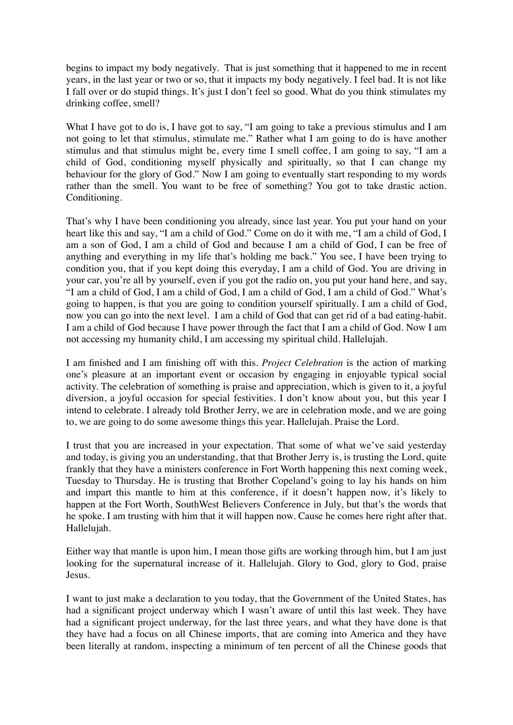begins to impact my body negatively. That is just something that it happened to me in recent years, in the last year or two or so, that it impacts my body negatively. I feel bad. It is not like I fall over or do stupid things. It's just I don't feel so good. What do you think stimulates my drinking coffee, smell?

What I have got to do is, I have got to say, "I am going to take a previous stimulus and I am not going to let that stimulus, stimulate me." Rather what I am going to do is have another stimulus and that stimulus might be, every time I smell coffee, I am going to say, "I am a child of God, conditioning myself physically and spiritually, so that I can change my behaviour for the glory of God." Now I am going to eventually start responding to my words rather than the smell. You want to be free of something? You got to take drastic action. Conditioning.

That's why I have been conditioning you already, since last year. You put your hand on your heart like this and say, "I am a child of God." Come on do it with me, "I am a child of God, I am a son of God, I am a child of God and because I am a child of God, I can be free of anything and everything in my life that's holding me back." You see, I have been trying to condition you, that if you kept doing this everyday, I am a child of God. You are driving in your car, you're all by yourself, even if you got the radio on, you put your hand here, and say, "I am a child of God, I am a child of God, I am a child of God, I am a child of God." What's going to happen, is that you are going to condition yourself spiritually. I am a child of God, now you can go into the next level. I am a child of God that can get rid of a bad eating-habit. I am a child of God because I have power through the fact that I am a child of God. Now I am not accessing my humanity child, I am accessing my spiritual child. Hallelujah.

I am finished and I am finishing off with this. *Project Celebration* is the action of marking one's pleasure at an important event or occasion by engaging in enjoyable typical social activity. The celebration of something is praise and appreciation, which is given to it, a joyful diversion, a joyful occasion for special festivities. I don't know about you, but this year I intend to celebrate. I already told Brother Jerry, we are in celebration mode, and we are going to, we are going to do some awesome things this year. Hallelujah. Praise the Lord.

I trust that you are increased in your expectation. That some of what we've said yesterday and today, is giving you an understanding, that that Brother Jerry is, is trusting the Lord, quite frankly that they have a ministers conference in Fort Worth happening this next coming week, Tuesday to Thursday. He is trusting that Brother Copeland's going to lay his hands on him and impart this mantle to him at this conference, if it doesn't happen now, it's likely to happen at the Fort Worth, SouthWest Believers Conference in July, but that's the words that he spoke. I am trusting with him that it will happen now. Cause he comes here right after that. Hallelujah.

Either way that mantle is upon him, I mean those gifts are working through him, but I am just looking for the supernatural increase of it. Hallelujah. Glory to God, glory to God, praise Jesus.

I want to just make a declaration to you today, that the Government of the United States, has had a significant project underway which I wasn't aware of until this last week. They have had a significant project underway, for the last three years, and what they have done is that they have had a focus on all Chinese imports, that are coming into America and they have been literally at random, inspecting a minimum of ten percent of all the Chinese goods that